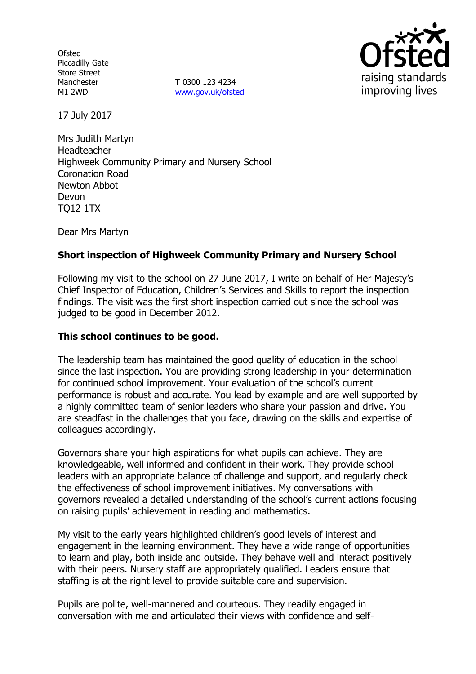**Ofsted** Piccadilly Gate Store Street Manchester M1 2WD

**T** 0300 123 4234 www.gov.uk/ofsted



17 July 2017

Mrs Judith Martyn Headteacher Highweek Community Primary and Nursery School Coronation Road Newton Abbot Devon TQ12 1TX

Dear Mrs Martyn

## **Short inspection of Highweek Community Primary and Nursery School**

Following my visit to the school on 27 June 2017, I write on behalf of Her Majesty's Chief Inspector of Education, Children's Services and Skills to report the inspection findings. The visit was the first short inspection carried out since the school was judged to be good in December 2012.

#### **This school continues to be good.**

The leadership team has maintained the good quality of education in the school since the last inspection. You are providing strong leadership in your determination for continued school improvement. Your evaluation of the school's current performance is robust and accurate. You lead by example and are well supported by a highly committed team of senior leaders who share your passion and drive. You are steadfast in the challenges that you face, drawing on the skills and expertise of colleagues accordingly.

Governors share your high aspirations for what pupils can achieve. They are knowledgeable, well informed and confident in their work. They provide school leaders with an appropriate balance of challenge and support, and regularly check the effectiveness of school improvement initiatives. My conversations with governors revealed a detailed understanding of the school's current actions focusing on raising pupils' achievement in reading and mathematics.

My visit to the early years highlighted children's good levels of interest and engagement in the learning environment. They have a wide range of opportunities to learn and play, both inside and outside. They behave well and interact positively with their peers. Nursery staff are appropriately qualified. Leaders ensure that staffing is at the right level to provide suitable care and supervision.

Pupils are polite, well-mannered and courteous. They readily engaged in conversation with me and articulated their views with confidence and self-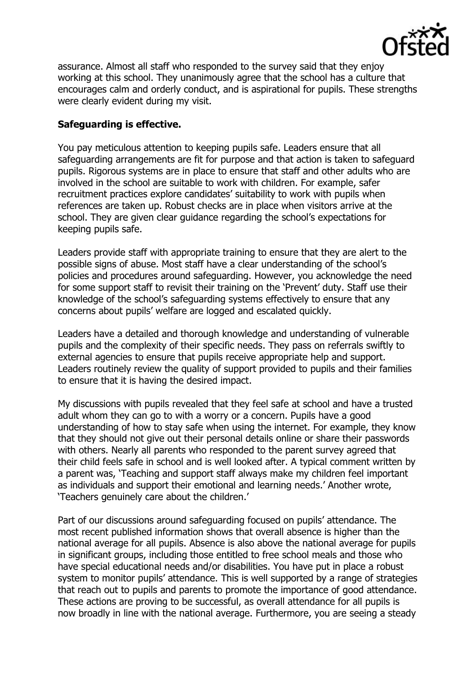

assurance. Almost all staff who responded to the survey said that they enjoy working at this school. They unanimously agree that the school has a culture that encourages calm and orderly conduct, and is aspirational for pupils. These strengths were clearly evident during my visit.

### **Safeguarding is effective.**

You pay meticulous attention to keeping pupils safe. Leaders ensure that all safeguarding arrangements are fit for purpose and that action is taken to safeguard pupils. Rigorous systems are in place to ensure that staff and other adults who are involved in the school are suitable to work with children. For example, safer recruitment practices explore candidates' suitability to work with pupils when references are taken up. Robust checks are in place when visitors arrive at the school. They are given clear guidance regarding the school's expectations for keeping pupils safe.

Leaders provide staff with appropriate training to ensure that they are alert to the possible signs of abuse. Most staff have a clear understanding of the school's policies and procedures around safeguarding. However, you acknowledge the need for some support staff to revisit their training on the 'Prevent' duty. Staff use their knowledge of the school's safeguarding systems effectively to ensure that any concerns about pupils' welfare are logged and escalated quickly.

Leaders have a detailed and thorough knowledge and understanding of vulnerable pupils and the complexity of their specific needs. They pass on referrals swiftly to external agencies to ensure that pupils receive appropriate help and support. Leaders routinely review the quality of support provided to pupils and their families to ensure that it is having the desired impact.

My discussions with pupils revealed that they feel safe at school and have a trusted adult whom they can go to with a worry or a concern. Pupils have a good understanding of how to stay safe when using the internet. For example, they know that they should not give out their personal details online or share their passwords with others. Nearly all parents who responded to the parent survey agreed that their child feels safe in school and is well looked after. A typical comment written by a parent was, 'Teaching and support staff always make my children feel important as individuals and support their emotional and learning needs.' Another wrote, 'Teachers genuinely care about the children.'

Part of our discussions around safeguarding focused on pupils' attendance. The most recent published information shows that overall absence is higher than the national average for all pupils. Absence is also above the national average for pupils in significant groups, including those entitled to free school meals and those who have special educational needs and/or disabilities. You have put in place a robust system to monitor pupils' attendance. This is well supported by a range of strategies that reach out to pupils and parents to promote the importance of good attendance. These actions are proving to be successful, as overall attendance for all pupils is now broadly in line with the national average. Furthermore, you are seeing a steady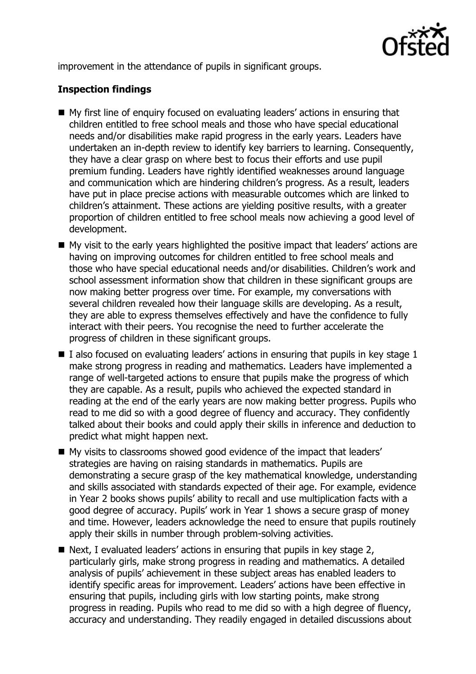

improvement in the attendance of pupils in significant groups.

# **Inspection findings**

- My first line of enquiry focused on evaluating leaders' actions in ensuring that children entitled to free school meals and those who have special educational needs and/or disabilities make rapid progress in the early years. Leaders have undertaken an in-depth review to identify key barriers to learning. Consequently, they have a clear grasp on where best to focus their efforts and use pupil premium funding. Leaders have rightly identified weaknesses around language and communication which are hindering children's progress. As a result, leaders have put in place precise actions with measurable outcomes which are linked to children's attainment. These actions are yielding positive results, with a greater proportion of children entitled to free school meals now achieving a good level of development.
- My visit to the early years highlighted the positive impact that leaders' actions are having on improving outcomes for children entitled to free school meals and those who have special educational needs and/or disabilities. Children's work and school assessment information show that children in these significant groups are now making better progress over time. For example, my conversations with several children revealed how their language skills are developing. As a result, they are able to express themselves effectively and have the confidence to fully interact with their peers. You recognise the need to further accelerate the progress of children in these significant groups.
- I also focused on evaluating leaders' actions in ensuring that pupils in key stage 1 make strong progress in reading and mathematics. Leaders have implemented a range of well-targeted actions to ensure that pupils make the progress of which they are capable. As a result, pupils who achieved the expected standard in reading at the end of the early years are now making better progress. Pupils who read to me did so with a good degree of fluency and accuracy. They confidently talked about their books and could apply their skills in inference and deduction to predict what might happen next.
- My visits to classrooms showed good evidence of the impact that leaders' strategies are having on raising standards in mathematics. Pupils are demonstrating a secure grasp of the key mathematical knowledge, understanding and skills associated with standards expected of their age. For example, evidence in Year 2 books shows pupils' ability to recall and use multiplication facts with a good degree of accuracy. Pupils' work in Year 1 shows a secure grasp of money and time. However, leaders acknowledge the need to ensure that pupils routinely apply their skills in number through problem-solving activities.
- $\blacksquare$  Next, I evaluated leaders' actions in ensuring that pupils in key stage 2, particularly girls, make strong progress in reading and mathematics. A detailed analysis of pupils' achievement in these subject areas has enabled leaders to identify specific areas for improvement. Leaders' actions have been effective in ensuring that pupils, including girls with low starting points, make strong progress in reading. Pupils who read to me did so with a high degree of fluency, accuracy and understanding. They readily engaged in detailed discussions about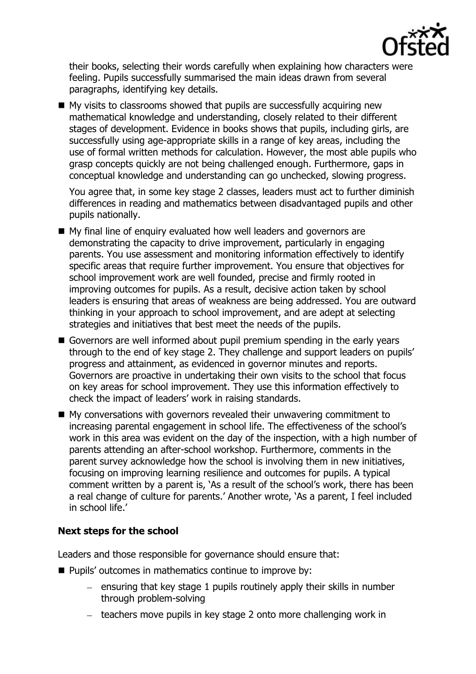

their books, selecting their words carefully when explaining how characters were feeling. Pupils successfully summarised the main ideas drawn from several paragraphs, identifying key details.

 $\blacksquare$  My visits to classrooms showed that pupils are successfully acquiring new mathematical knowledge and understanding, closely related to their different stages of development. Evidence in books shows that pupils, including girls, are successfully using age-appropriate skills in a range of key areas, including the use of formal written methods for calculation. However, the most able pupils who grasp concepts quickly are not being challenged enough. Furthermore, gaps in conceptual knowledge and understanding can go unchecked, slowing progress.

You agree that, in some key stage 2 classes, leaders must act to further diminish differences in reading and mathematics between disadvantaged pupils and other pupils nationally.

- My final line of enquiry evaluated how well leaders and governors are demonstrating the capacity to drive improvement, particularly in engaging parents. You use assessment and monitoring information effectively to identify specific areas that require further improvement. You ensure that objectives for school improvement work are well founded, precise and firmly rooted in improving outcomes for pupils. As a result, decisive action taken by school leaders is ensuring that areas of weakness are being addressed. You are outward thinking in your approach to school improvement, and are adept at selecting strategies and initiatives that best meet the needs of the pupils.
- Governors are well informed about pupil premium spending in the early years through to the end of key stage 2. They challenge and support leaders on pupils' progress and attainment, as evidenced in governor minutes and reports. Governors are proactive in undertaking their own visits to the school that focus on key areas for school improvement. They use this information effectively to check the impact of leaders' work in raising standards.
- My conversations with governors revealed their unwavering commitment to increasing parental engagement in school life. The effectiveness of the school's work in this area was evident on the day of the inspection, with a high number of parents attending an after-school workshop. Furthermore, comments in the parent survey acknowledge how the school is involving them in new initiatives, focusing on improving learning resilience and outcomes for pupils. A typical comment written by a parent is, 'As a result of the school's work, there has been a real change of culture for parents.' Another wrote, 'As a parent, I feel included in school life.'

# **Next steps for the school**

Leaders and those responsible for governance should ensure that:

- **Pupils' outcomes in mathematics continue to improve by:** 
	- $-$  ensuring that key stage 1 pupils routinely apply their skills in number through problem-solving
	- teachers move pupils in key stage 2 onto more challenging work in